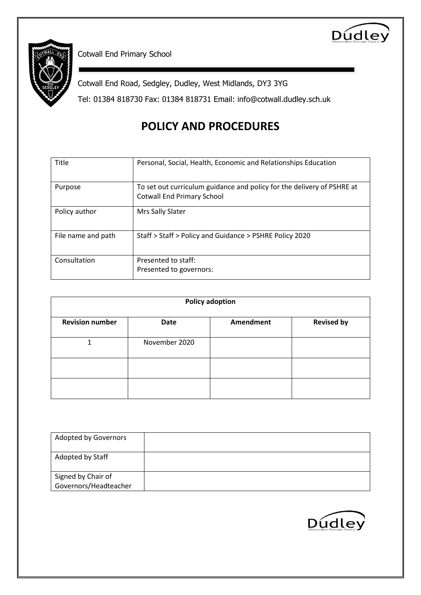



Cotwall End Primary School

Cotwall End Road, Sedgley, Dudley, West Midlands, DY3 3YG

Tel: 01384 818730 Fax: 01384 818731 Email: info@cotwall.dudley.sch.uk

# **POLICY AND PROCEDURES**

| Title              | Personal, Social, Health, Economic and Relationships Education                                              |
|--------------------|-------------------------------------------------------------------------------------------------------------|
| Purpose            | To set out curriculum guidance and policy for the delivery of PSHRE at<br><b>Cotwall End Primary School</b> |
| Policy author      | Mrs Sally Slater                                                                                            |
| File name and path | Staff > Staff > Policy and Guidance > PSHRE Policy 2020                                                     |
| Consultation       | Presented to staff:<br>Presented to governors:                                                              |

| <b>Policy adoption</b> |               |                  |                   |  |
|------------------------|---------------|------------------|-------------------|--|
| <b>Revision number</b> | <b>Date</b>   | <b>Amendment</b> | <b>Revised by</b> |  |
|                        | November 2020 |                  |                   |  |
|                        |               |                  |                   |  |
|                        |               |                  |                   |  |

| <b>Adopted by Governors</b> |  |
|-----------------------------|--|
| Adopted by Staff            |  |
| Signed by Chair of          |  |
| Governors/Headteacher       |  |

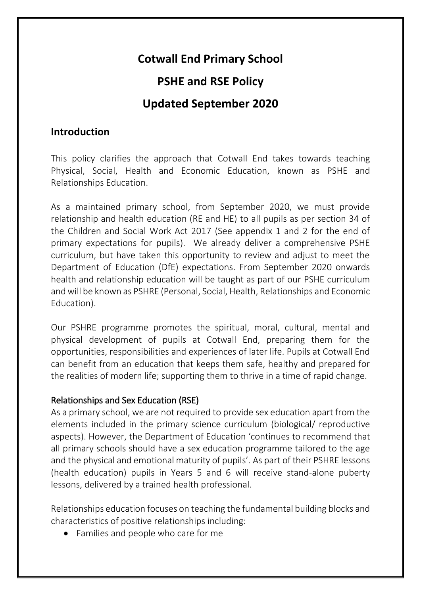# **Cotwall End Primary School**

# **PSHE and RSE Policy**

# **Updated September 2020**

## **Introduction**

This policy clarifies the approach that Cotwall End takes towards teaching Physical, Social, Health and Economic Education, known as PSHE and Relationships Education.

As a maintained primary school, from September 2020, we must provide relationship and health education (RE and HE) to all pupils as per section 34 of the Children and Social Work Act 2017 (See appendix 1 and 2 for the end of primary expectations for pupils). We already deliver a comprehensive PSHE curriculum, but have taken this opportunity to review and adjust to meet the Department of Education (DfE) expectations. From September 2020 onwards health and relationship education will be taught as part of our PSHE curriculum and will be known as PSHRE (Personal, Social, Health, Relationships and Economic Education).

Our PSHRE programme promotes the spiritual, moral, cultural, mental and physical development of pupils at Cotwall End, preparing them for the opportunities, responsibilities and experiences of later life. Pupils at Cotwall End can benefit from an education that keeps them safe, healthy and prepared for the realities of modern life; supporting them to thrive in a time of rapid change.

### Relationships and Sex Education (RSE)

As a primary school, we are not required to provide sex education apart from the elements included in the primary science curriculum (biological/ reproductive aspects). However, the Department of Education 'continues to recommend that all primary schools should have a sex education programme tailored to the age and the physical and emotional maturity of pupils'. As part of their PSHRE lessons (health education) pupils in Years 5 and 6 will receive stand-alone puberty lessons, delivered by a trained health professional.

Relationships education focuses on teaching the fundamental building blocks and characteristics of positive relationships including:

• Families and people who care for me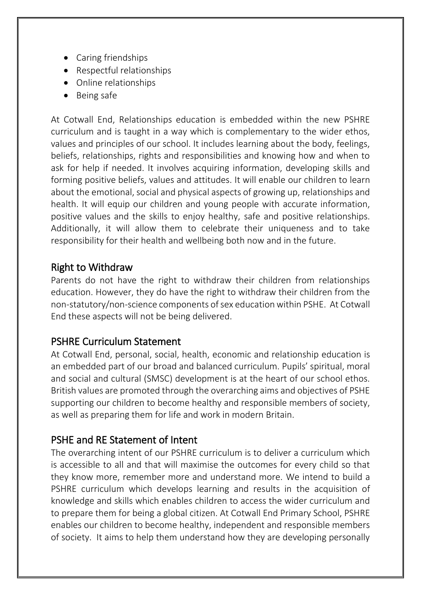- Caring friendships
- Respectful relationships
- Online relationships
- Being safe

At Cotwall End, Relationships education is embedded within the new PSHRE curriculum and is taught in a way which is complementary to the wider ethos, values and principles of our school. It includes learning about the body, feelings, beliefs, relationships, rights and responsibilities and knowing how and when to ask for help if needed. It involves acquiring information, developing skills and forming positive beliefs, values and attitudes. It will enable our children to learn about the emotional, social and physical aspects of growing up, relationships and health. It will equip our children and young people with accurate information, positive values and the skills to enjoy healthy, safe and positive relationships. Additionally, it will allow them to celebrate their uniqueness and to take responsibility for their health and wellbeing both now and in the future.

# Right to Withdraw

Parents do not have the right to withdraw their children from relationships education. However, they do have the right to withdraw their children from the non-statutory/non-science components of sex education within PSHE. At Cotwall End these aspects will not be being delivered.

# PSHRE Curriculum Statement

At Cotwall End, personal, social, health, economic and relationship education is an embedded part of our broad and balanced curriculum. Pupils' spiritual, moral and social and cultural (SMSC) development is at the heart of our school ethos. British values are promoted through the overarching aims and objectives of PSHE supporting our children to become healthy and responsible members of society, as well as preparing them for life and work in modern Britain.

# PSHE and RE Statement of Intent

The overarching intent of our PSHRE curriculum is to deliver a curriculum which is accessible to all and that will maximise the outcomes for every child so that they know more, remember more and understand more. We intend to build a PSHRE curriculum which develops learning and results in the acquisition of knowledge and skills which enables children to access the wider curriculum and to prepare them for being a global citizen. At Cotwall End Primary School, PSHRE enables our children to become healthy, independent and responsible members of society. It aims to help them understand how they are developing personally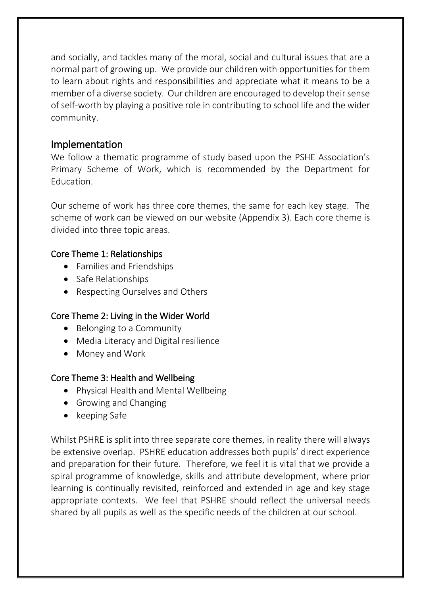and socially, and tackles many of the moral, social and cultural issues that are a normal part of growing up. We provide our children with opportunities for them to learn about rights and responsibilities and appreciate what it means to be a member of a diverse society. Our children are encouraged to develop their sense of self-worth by playing a positive role in contributing to school life and the wider community.

## Implementation

We follow a thematic programme of study based upon the PSHE Association's Primary Scheme of Work, which is recommended by the Department for Education.

Our scheme of work has three core themes, the same for each key stage. The scheme of work can be viewed on our website (Appendix 3). Each core theme is divided into three topic areas.

### Core Theme 1: Relationships

- Families and Friendships
- Safe Relationships
- Respecting Ourselves and Others

### Core Theme 2: Living in the Wider World

- Belonging to a Community
- Media Literacy and Digital resilience
- Money and Work

### Core Theme 3: Health and Wellbeing

- Physical Health and Mental Wellbeing
- Growing and Changing
- $\bullet$  keeping Safe

Whilst PSHRE is split into three separate core themes, in reality there will always be extensive overlap. PSHRE education addresses both pupils' direct experience and preparation for their future. Therefore, we feel it is vital that we provide a spiral programme of knowledge, skills and attribute development, where prior learning is continually revisited, reinforced and extended in age and key stage appropriate contexts. We feel that PSHRE should reflect the universal needs shared by all pupils as well as the specific needs of the children at our school.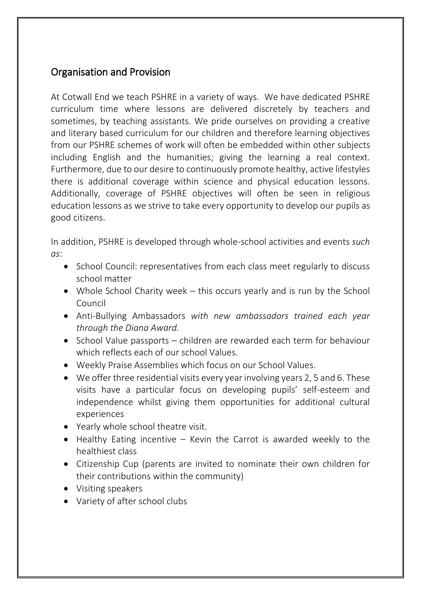# Organisation and Provision

At Cotwall End we teach PSHRE in a variety of ways. We have dedicated PSHRE curriculum time where lessons are delivered discretely by teachers and sometimes, by teaching assistants. We pride ourselves on providing a creative and literary based curriculum for our children and therefore learning objectives from our PSHRE schemes of work will often be embedded within other subjects including English and the humanities; giving the learning a real context. Furthermore, due to our desire to continuously promote healthy, active lifestyles there is additional coverage within science and physical education lessons. Additionally, coverage of PSHRE objectives will often be seen in religious education lessons as we strive to take every opportunity to develop our pupils as good citizens.

In addition, PSHRE is developed through whole-school activities and events *such as*:

- School Council: representatives from each class meet regularly to discuss school matter
- Whole School Charity week this occurs yearly and is run by the School Council
- Anti-Bullying Ambassadors *with new ambassadors trained each year through the Diana Award.*
- School Value passports children are rewarded each term for behaviour which reflects each of our school Values.
- Weekly Praise Assemblies which focus on our School Values.
- We offer three residential visits every year involving years 2, 5 and 6. These visits have a particular focus on developing pupils' self-esteem and independence whilst giving them opportunities for additional cultural experiences
- Yearly whole school theatre visit.
- $\bullet$  Healthy Eating incentive Kevin the Carrot is awarded weekly to the healthiest class
- Citizenship Cup (parents are invited to nominate their own children for their contributions within the community)
- Visiting speakers
- Variety of after school clubs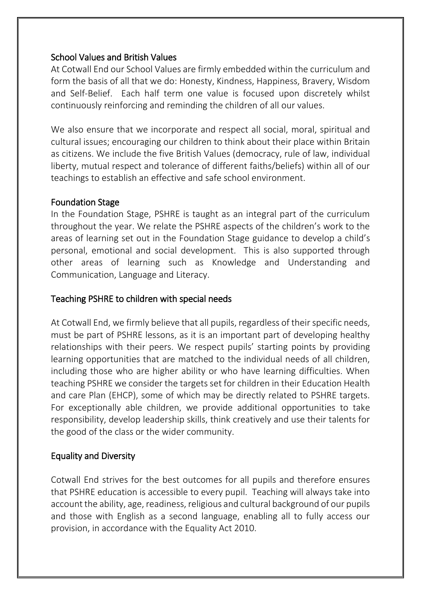### School Values and British Values

At Cotwall End our School Values are firmly embedded within the curriculum and form the basis of all that we do: Honesty, Kindness, Happiness, Bravery, Wisdom and Self-Belief. Each half term one value is focused upon discretely whilst continuously reinforcing and reminding the children of all our values.

We also ensure that we incorporate and respect all social, moral, spiritual and cultural issues; encouraging our children to think about their place within Britain as citizens. We include the five British Values (democracy, rule of law, individual liberty, mutual respect and tolerance of different faiths/beliefs) within all of our teachings to establish an effective and safe school environment.

#### Foundation Stage

In the Foundation Stage, PSHRE is taught as an integral part of the curriculum throughout the year. We relate the PSHRE aspects of the children's work to the areas of learning set out in the Foundation Stage guidance to develop a child's personal, emotional and social development. This is also supported through other areas of learning such as Knowledge and Understanding and Communication, Language and Literacy.

### Teaching PSHRE to children with special needs

At Cotwall End, we firmly believe that all pupils, regardless of their specific needs, must be part of PSHRE lessons, as it is an important part of developing healthy relationships with their peers. We respect pupils' starting points by providing learning opportunities that are matched to the individual needs of all children, including those who are higher ability or who have learning difficulties. When teaching PSHRE we consider the targets set for children in their Education Health and care Plan (EHCP), some of which may be directly related to PSHRE targets. For exceptionally able children, we provide additional opportunities to take responsibility, develop leadership skills, think creatively and use their talents for the good of the class or the wider community.

### Equality and Diversity

Cotwall End strives for the best outcomes for all pupils and therefore ensures that PSHRE education is accessible to every pupil. Teaching will always take into account the ability, age, readiness, religious and cultural background of our pupils and those with English as a second language, enabling all to fully access our provision, in accordance with the Equality Act 2010.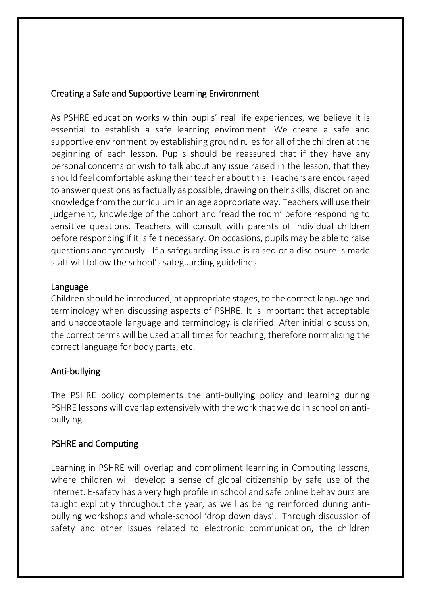### Creating a Safe and Supportive Learning Environment

As PSHRE education works within pupils' real life experiences, we believe it is essential to establish a safe learning environment. We create a safe and supportive environment by establishing ground rules for all of the children at the beginning of each lesson. Pupils should be reassured that if they have any personal concerns or wish to talk about any issue raised in the lesson, that they should feel comfortable asking their teacher about this. Teachers are encouraged to answer questions as factually as possible, drawing on their skills, discretion and knowledge from the curriculum in an age appropriate way. Teachers will use their judgement, knowledge of the cohort and 'read the room' before responding to sensitive questions. Teachers will consult with parents of individual children before responding if it is felt necessary. On occasions, pupils may be able to raise questions anonymously. If a safeguarding issue is raised or a disclosure is made staff will follow the school's safeguarding guidelines.

#### Language

Children should be introduced, at appropriate stages, to the correct language and terminology when discussing aspects of PSHRE. It is important that acceptable and unacceptable language and terminology is clarified. After initial discussion, the correct terms will be used at all times for teaching, therefore normalising the correct language for body parts, etc.

### Anti-bullying

The PSHRE policy complements the anti-bullying policy and learning during PSHRE lessons will overlap extensively with the work that we do in school on antibullying.

### PSHRE and Computing

Learning in PSHRE will overlap and compliment learning in Computing lessons, where children will develop a sense of global citizenship by safe use of the internet. E-safety has a very high profile in school and safe online behaviours are taught explicitly throughout the year, as well as being reinforced during antibullying workshops and whole-school 'drop down days'. Through discussion of safety and other issues related to electronic communication, the children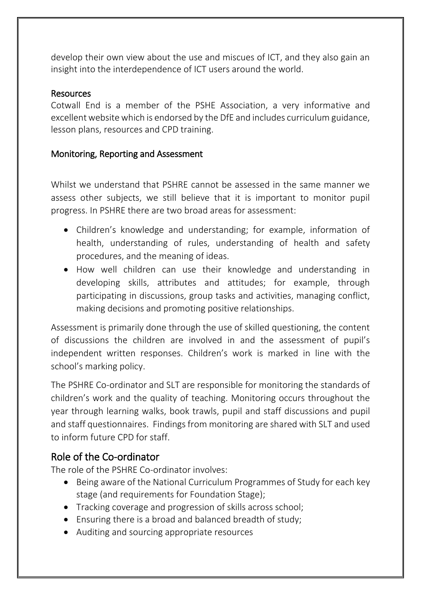develop their own view about the use and miscues of ICT, and they also gain an insight into the interdependence of ICT users around the world.

### Resources

Cotwall End is a member of the PSHE Association, a very informative and excellent website which is endorsed by the DfE and includes curriculum guidance, lesson plans, resources and CPD training.

### Monitoring, Reporting and Assessment

Whilst we understand that PSHRE cannot be assessed in the same manner we assess other subjects, we still believe that it is important to monitor pupil progress. In PSHRE there are two broad areas for assessment:

- Children's knowledge and understanding; for example, information of health, understanding of rules, understanding of health and safety procedures, and the meaning of ideas.
- How well children can use their knowledge and understanding in developing skills, attributes and attitudes; for example, through participating in discussions, group tasks and activities, managing conflict, making decisions and promoting positive relationships.

Assessment is primarily done through the use of skilled questioning, the content of discussions the children are involved in and the assessment of pupil's independent written responses. Children's work is marked in line with the school's marking policy.

The PSHRE Co-ordinator and SLT are responsible for monitoring the standards of children's work and the quality of teaching. Monitoring occurs throughout the year through learning walks, book trawls, pupil and staff discussions and pupil and staff questionnaires. Findings from monitoring are shared with SLT and used to inform future CPD for staff.

# Role of the Co-ordinator

The role of the PSHRE Co-ordinator involves:

- Being aware of the National Curriculum Programmes of Study for each key stage (and requirements for Foundation Stage);
- Tracking coverage and progression of skills across school;
- Ensuring there is a broad and balanced breadth of study;
- Auditing and sourcing appropriate resources